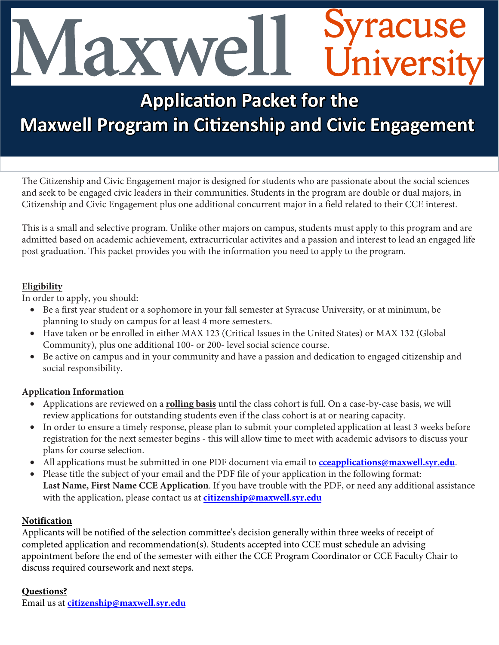# yracuse Universit laxwe

# **Application Packet for the Maxwell Program in Citizenship and Civic Engagement**

The Citizenship and Civic Engagement major is designed for students who are passionate about the social sciences and seek to be engaged civic leaders in their communities. Students in the program are double or dual majors, in Citizenship and Civic Engagement plus one additional concurrent major in a field related to their CCE interest.

This is a small and selective program. Unlike other majors on campus, students must apply to this program and are admitted based on academic achievement, extracurricular activites and a passion and interest to lead an engaged life post graduation. This packet provides you with the information you need to apply to the program.

## **Eligibility**

In order to apply, you should:

- Be a first year student or a sophomore in your fall semester at Syracuse University, or at minimum, be planning to study on campus for at least 4 more semesters.
- Have taken or be enrolled in either MAX 123 (Critical Issues in the United States) or MAX 132 (Global Community), plus one additional 100- or 200- level social science course.
- Be active on campus and in your community and have a passion and dedication to engaged citizenship and social responsibility.

# **Application Information**

- Applications are reviewed on a **rolling basis** until the class cohort is full. On a case-by-case basis, we will review applications for outstanding students even if the class cohort is at or nearing capacity.
- In order to ensure a timely response, please plan to submit your completed application at least 3 weeks before registration for the next semester begins - this will allow time to meet with academic advisors to discuss your plans for course selection.
- All applications must be submitted in one PDF document via email to **[cceapplications@maxwell.syr.edu](mailto:cceapplications@maxwell.syr.edu)**.
- Please title the subject of your email and the PDF file of your application in the following format: **Last Name, First Name CCE Application**. If you have trouble with t[he PDF, or need any additional assist](mailto:cceapplications@maxwell.syr.edu)ance with the application, please contact us at **citizenship[@maxwell.syr.edu](mailto:cceapplications@maxwell.syr.edu)**

# **Notification**

Applicants will be notified of the selection committee's decision generally within three weeks of receipt of completed application and recommendation(s). Students accepted into CCE must schedule an advising appointment before the end of the semester with either the CCE Program Coordinator or CCE Faculty Chair to discuss required coursework and next steps.

# **Questions?**

Email us at **[citizenship@maxwell.syr.edu](mailto:citizenship@maxwell.syr.edu)**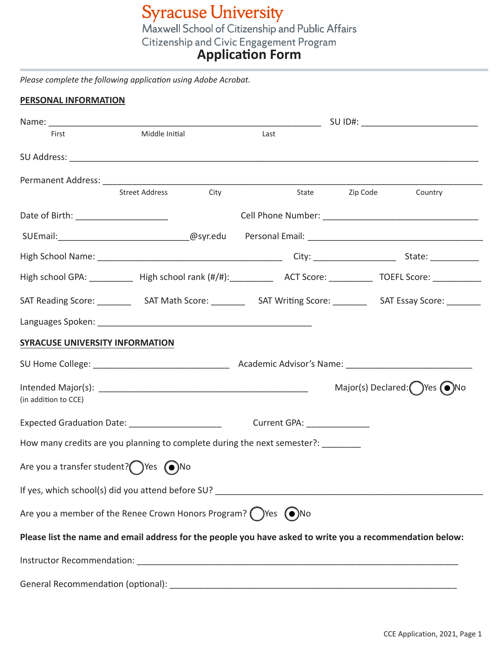**Syracuse University**<br>Maxwell School of Citizenship and Public Affairs **Citizenship and Civic Engagement Program**<br>**Application Form** 

*Please complete the following application using Adobe Acrobat.*

#### **PERSONAL INFORMATION**

| First                                  | Middle Initial                                                                                               | Last                        |                                                 |
|----------------------------------------|--------------------------------------------------------------------------------------------------------------|-----------------------------|-------------------------------------------------|
|                                        |                                                                                                              |                             |                                                 |
|                                        |                                                                                                              |                             |                                                 |
|                                        | <b>Street Address</b><br>City                                                                                |                             | State Zip Code<br>Country                       |
| Date of Birth: _______________________ |                                                                                                              |                             |                                                 |
|                                        |                                                                                                              |                             |                                                 |
|                                        |                                                                                                              |                             |                                                 |
|                                        | High school GPA: ___________ High school rank (#/#): _________ ACT Score: _________ TOEFL Score: ___________ |                             |                                                 |
|                                        |                                                                                                              |                             |                                                 |
|                                        |                                                                                                              |                             |                                                 |
| SYRACUSE UNIVERSITY INFORMATION        |                                                                                                              |                             |                                                 |
|                                        |                                                                                                              |                             |                                                 |
| (in addition to CCE)                   |                                                                                                              |                             | Major(s) Declared: $\bigcirc$ Yes $\bigcirc$ No |
|                                        | Expected Graduation Date: _______________________                                                            | Current GPA: ______________ |                                                 |
|                                        | How many credits are you planning to complete during the next semester?:                                     |                             |                                                 |
| Are you a transfer student? (Ves (O)No |                                                                                                              |                             |                                                 |
|                                        |                                                                                                              |                             |                                                 |
|                                        | Are you a member of the Renee Crown Honors Program? $\bigcirc$ Yes $\bigcirc$ No                             |                             |                                                 |
|                                        | Please list the name and email address for the people you have asked to write you a recommendation below:    |                             |                                                 |
|                                        |                                                                                                              |                             |                                                 |
|                                        |                                                                                                              |                             |                                                 |